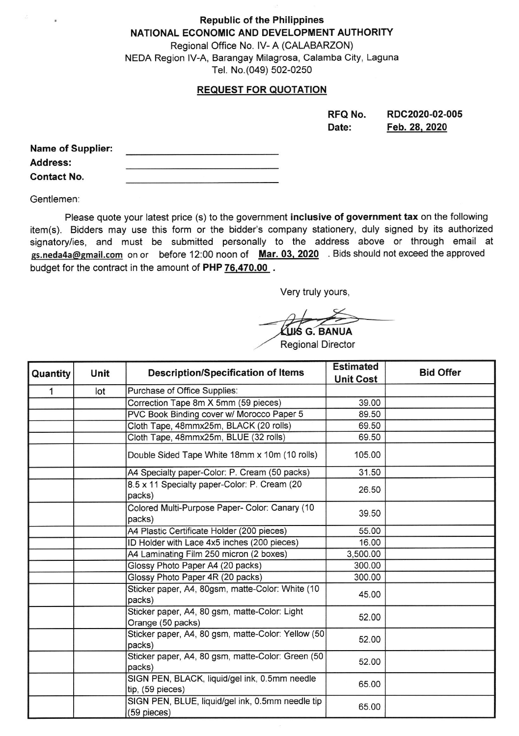## Republic of the Philippines NATIONAL ECONOMIC AND DEVELOPMENT AUTHORITY

Regional Office No. lV- A (CALABARZON) NEDA Region lV-A, Barangay Milagrosa, Calamba City, Laguna Tel. No.(049) 502-0250

## REQUEST FOR QUOTATION

| RFQ No. | RDC2020-02-005 |
|---------|----------------|
| Date:   | Feb. 28, 2020  |

| <b>Name of Supplier:</b> |  |
|--------------------------|--|
| <b>Address:</b>          |  |
| <b>Contact No.</b>       |  |

Gentlemen:

Please quote your latest price (s) to the government inclusive of government tax on the following item(s). Bidders may use this form or the bidder's company stationery, duly signed by its authorized signatory/ies, and must be submitted personally to the address above or through email at gs.neda4a@gmail.com on or before 12:00 noon of Mar. 03, 2020 Bids should not exceed the approved budget for the contract in the amount of PHP 76,470.00.

Very truly yours,

KUIS G. BANUA

Regional Director

| Quantity | Unit | <b>Description/Specification of Items</b>                          | <b>Estimated</b><br><b>Unit Cost</b> | <b>Bid Offer</b> |
|----------|------|--------------------------------------------------------------------|--------------------------------------|------------------|
| 1        | lot  | Purchase of Office Supplies:                                       |                                      |                  |
|          |      | Correction Tape 8m X 5mm (59 pieces)                               | 39.00                                |                  |
|          |      | PVC Book Binding cover w/ Morocco Paper 5                          | 89.50                                |                  |
|          |      | Cloth Tape, 48mmx25m, BLACK (20 rolls)                             | 69.50                                |                  |
|          |      | Cloth Tape, 48mmx25m, BLUE (32 rolls)                              | 69.50                                |                  |
|          |      | Double Sided Tape White 18mm x 10m (10 rolls)                      | 105.00                               |                  |
|          |      | A4 Specialty paper-Color: P. Cream (50 packs)                      | 31.50                                |                  |
|          |      | 8.5 x 11 Specialty paper-Color: P. Cream (20)<br>packs)            | 26.50                                |                  |
|          |      | Colored Multi-Purpose Paper- Color: Canary (10<br>packs)           | 39.50                                |                  |
|          |      | A4 Plastic Certificate Holder (200 pieces)                         | 55.00                                |                  |
|          |      | ID Holder with Lace 4x5 inches (200 pieces)                        | 16.00                                |                  |
|          |      | A4 Laminating Film 250 micron (2 boxes)                            | 3,500.00                             |                  |
|          |      | Glossy Photo Paper A4 (20 packs)                                   | 300.00                               |                  |
|          |      | Glossy Photo Paper 4R (20 packs)                                   | 300.00                               |                  |
|          |      | Sticker paper, A4, 80gsm, matte-Color: White (10)<br>packs)        | 45.00                                |                  |
|          |      | Sticker paper, A4, 80 gsm, matte-Color: Light<br>Orange (50 packs) | 52.00                                |                  |
|          |      | Sticker paper, A4, 80 gsm, matte-Color: Yellow (50<br>packs)       | 52.00                                |                  |
|          |      | Sticker paper, A4, 80 gsm, matte-Color: Green (50<br>packs)        | 52.00                                |                  |
|          |      | SIGN PEN, BLACK, liquid/gel ink, 0.5mm needle<br>tip, (59 pieces)  | 65.00                                |                  |
|          |      | SIGN PEN, BLUE, liquid/gel ink, 0.5mm needle tip<br>(59 pieces)    | 65.00                                |                  |